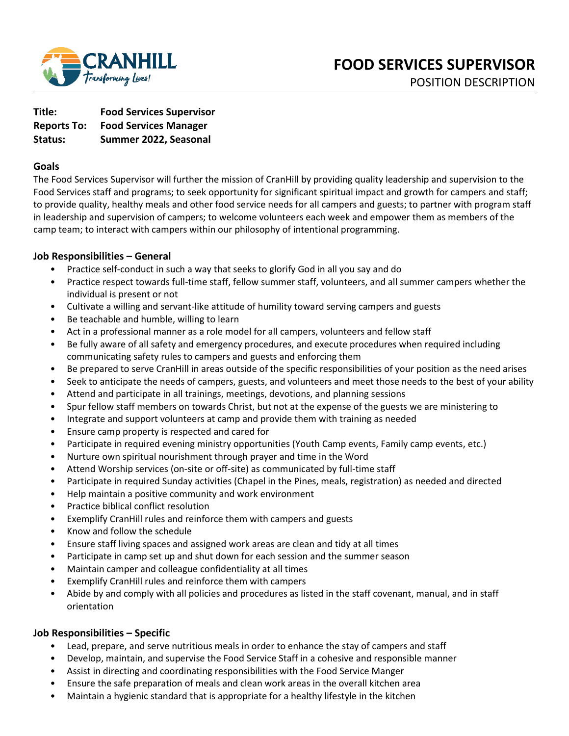

| Title:             | <b>Food Services Supervisor</b> |
|--------------------|---------------------------------|
| <b>Reports To:</b> | <b>Food Services Manager</b>    |
| Status:            | Summer 2022, Seasonal           |

## **Goals**

The Food Services Supervisor will further the mission of CranHill by providing quality leadership and supervision to the Food Services staff and programs; to seek opportunity for significant spiritual impact and growth for campers and staff; to provide quality, healthy meals and other food service needs for all campers and guests; to partner with program staff in leadership and supervision of campers; to welcome volunteers each week and empower them as members of the camp team; to interact with campers within our philosophy of intentional programming.

## **Job Responsibilities – General**

- Practice self-conduct in such a way that seeks to glorify God in all you say and do
- Practice respect towards full-time staff, fellow summer staff, volunteers, and all summer campers whether the individual is present or not
- Cultivate a willing and servant-like attitude of humility toward serving campers and guests
- Be teachable and humble, willing to learn
- Act in a professional manner as a role model for all campers, volunteers and fellow staff
- Be fully aware of all safety and emergency procedures, and execute procedures when required including communicating safety rules to campers and guests and enforcing them
- Be prepared to serve CranHill in areas outside of the specific responsibilities of your position as the need arises
- Seek to anticipate the needs of campers, guests, and volunteers and meet those needs to the best of your ability
- Attend and participate in all trainings, meetings, devotions, and planning sessions
- Spur fellow staff members on towards Christ, but not at the expense of the guests we are ministering to
- Integrate and support volunteers at camp and provide them with training as needed
- Ensure camp property is respected and cared for
- Participate in required evening ministry opportunities (Youth Camp events, Family camp events, etc.)
- Nurture own spiritual nourishment through prayer and time in the Word
- Attend Worship services (on-site or off-site) as communicated by full-time staff
- Participate in required Sunday activities (Chapel in the Pines, meals, registration) as needed and directed
- Help maintain a positive community and work environment
- Practice biblical conflict resolution
- Exemplify CranHill rules and reinforce them with campers and guests
- Know and follow the schedule
- Ensure staff living spaces and assigned work areas are clean and tidy at all times
- Participate in camp set up and shut down for each session and the summer season
- Maintain camper and colleague confidentiality at all times
- Exemplify CranHill rules and reinforce them with campers
- Abide by and comply with all policies and procedures as listed in the staff covenant, manual, and in staff orientation

### **Job Responsibilities – Specific**

- Lead, prepare, and serve nutritious meals in order to enhance the stay of campers and staff
- Develop, maintain, and supervise the Food Service Staff in a cohesive and responsible manner
- Assist in directing and coordinating responsibilities with the Food Service Manger
- Ensure the safe preparation of meals and clean work areas in the overall kitchen area
- Maintain a hygienic standard that is appropriate for a healthy lifestyle in the kitchen